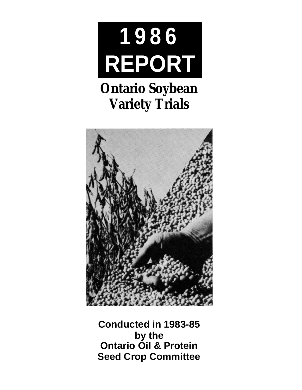

# **Ontario Soybean Variety Trials**



**Conducted in 1983-85 by the Ontario Oil & Protein Seed Crop Committee**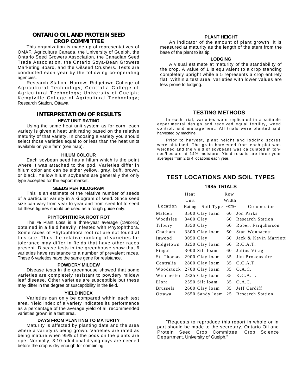# **ONTARIO OIL AND PROTEIN SEED CROP COMMITTEE**

This organization is made up of representatives of OMAF, Agriculture Canada, the University of Guelph, the Ontario Seed Growers Association, the Canadian Seed Trade Association, the Ontario Soya-Bean Growers Marketing Board, and the Oilseed Crushers. Tests are conducted each year by the following co-operating agencies.

Research Station, Harrow; Ridgetown College of Agricultural Technology; Centralia College of Agricultural Technology; University of Guelph; Kemptville College of Agricultural Technology; Research Station, Ottawa.

# **INTERPRETATION OF RESULTS HEAT UNIT RATING**

Using the same heat unit system as for corn, each variety is given a heat unit rating based on the relative maturity of that variety. In choosing a variety you should select those varieties equal to or less than the heat units available on your farm (see map).

#### **HILUM COLOUR**

Each soybean seed has a hilum which is the point where it was attached to the pod. Varieties differ in hilum color and can be either yellow, gray, buff, brown, or black. Yellow hilum soybeans are generally the only type accepted for the export market.

#### **SEEDS PER KILOGRAM**

This is an estimate of the relative number of seeds of a particular variety in a kilogram of seed. Since seed size can vary from year to year and from seed lot to seed lot these figures should be used as a rough guide only.

#### **PHYTOPHTHORA ROOT ROT**

The % Plant Loss is a three-year average (1983-85) obtained in a field heavily infested with Phytophthora. Some races of Phytophthora root rot are not found at this site. Thus the relative ranking of varieties for tolerance may differ in fields that have other races present. Disease tests in the greenhouse show that 6 varieties have resistance to a number of prevalent races. These 6 varieties have the same gene for resistance.

#### **POWDERY MILDEW**

Disease tests in the greenhouse showed that some varieties are completely resistant to powdery mildew leaf disease. Other varieties are susceptible but these may differ in the degree of susceptibility in the field.

#### **YIELD INDEX**

Varieties can only be compared within each test area. Yield index of a variety indicates its performance as a percentage of the average yield of all recommended varieties grown in a test area.

## **DAYS FROM PLANTING TO MATURITY**

Maturity is affected by planting date and the area where a variety is being grown. Varieties are rated as being mature when 95% of the pods on the plants are ripe. Normally, 3-10 additional drying days are needed before the crop is dry enough for combining.

### **PLANT HEIGHT**

An indicator of the amount of plant growth, it is measured at maturity as the length of the stem from the base of the plant to its tip.

#### **LODGING**

A visual estimate at maturity of the standability of the crop. A value of 1 is equivalent to a crop standing completely upright while a 5 represents a crop entirely flat. Within a test area, varieties with lower values are less prone to lodging.

# **TESTING METHODS**

In each trial, varieties were replicated in a suitable experimental design and received equal fertility, weed control, and management. All trials were planted and harvested by machine.

Prior to harvest, plant height and lodging scores were obtained. The grain harvested from each plot was weighed and the yield of soybeans was calculated in tonnes/hectare at 14% moisture. Yield results are three-year averages from 2 to 4 locations each year.

# **TEST LOCATIONS AND SOIL TYPES**

# **1985 TRIALS**

|                 | Heat      |                 | Row    |                         |  |  |
|-----------------|-----------|-----------------|--------|-------------------------|--|--|
|                 | Unit      |                 | Width  |                         |  |  |
| Location        | Rating    | Soil Type       | $-cm-$ | Co-operator             |  |  |
| Malden          |           | 3500 Clay loam  | 60     | Jon Parks               |  |  |
| Woodslee        | 3400 Clay |                 | 60     | <b>Research Station</b> |  |  |
| Tilbury         | 3350 Clay |                 | 60     | Robert Farquharson      |  |  |
| Chatham         |           | 3300 Clay loam  | 60     | Stan Wonnacott          |  |  |
| Inwood          | 3050 Clay |                 | 60     | Jack & Kevin Marriott   |  |  |
| Ridgetown       |           | 3250 Clay loam  | 60     | R.C.A.T.                |  |  |
| Fingal          |           | 3000 Silt loam  | 60     | Julius Virag            |  |  |
| St. Thomas      |           | 2900 Clay loam  | 35     | Jim Brokenshire         |  |  |
| Centralia       |           | 2800 Clay loam  | 35     | C.C.A.T.                |  |  |
| Woodstock       |           | 2700 Clay loam  | 35     | O.A.C.                  |  |  |
| Winchester      |           | 2825 Clay loam  | 35     | K.C.A.T.                |  |  |
| Elora           |           | 2550 Silt loam  | 35     | O.A.C.                  |  |  |
| <b>Brussels</b> |           | 2600 Clay loam  | 35     | Jeff Cardiff            |  |  |
| Ottawa          |           | 2650 Sandy loam | 25     | <b>Research Station</b> |  |  |

"Requests to reproduce this report in whole or in part should be made to the secretary, Ontario Oil and Protein Seed Crop Committee, Crop Science Department, University of Guelph."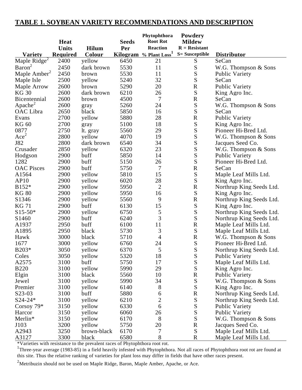# **TABLE 1. SOYBEAN VARIETY RECOMMENDATIONS AND DESCRIPTION**

|                            | Heat     |              | <b>Seeds</b> | Phytophthora<br><b>Root Rot</b>    | Powdery<br><b>Mildew</b> |                          |
|----------------------------|----------|--------------|--------------|------------------------------------|--------------------------|--------------------------|
|                            | Units    | <b>Hilum</b> | Per          | <b>Reaction</b>                    | $R =$ Resistant          |                          |
| <b>Variety</b>             | Required | Colour       |              | Kilogram % Plant Loss <sup>1</sup> | <b>S= Susceptible</b>    | <b>Distributor</b>       |
| Maple Ridge $\overline{ }$ | 2400     | yellow       | 6450         | 21                                 | S                        | SeCan                    |
| $\text{Baron}^2$           | 2450     | dark brown   | 5530         | 11                                 | ${\bf S}$                | W.G. Thompson & Sons     |
| Maple Amber <sup>2</sup>   | 2450     | brown        | 5530         | 11                                 | S                        | Public Variety           |
| Maple Isle                 | 2500     | yellow       | 5240         | 32                                 | S                        | SeCan                    |
| Maple Arrow                | 2600     | brown        | 5290         | 20                                 | ${\bf R}$                | <b>Public Variety</b>    |
| <b>KG 30</b>               | 2600     | dark brown   | 6210         | 26                                 | S                        | King Agro Inc.           |
| Bicentennial               | 2600     | brown        | 4500         | 7                                  | ${\bf R}$                | SeCan                    |
| Apache <sup>2</sup>        | 2600     | gray         | 5260         | 24                                 | ${\bf S}$                | W.G. Thompson & Sons     |
| OAC Libra                  | 2650     | black        | 5850         | 16                                 | S                        | SeCan                    |
| Evans                      | 2700     | yellow       | 5880         | 28                                 | ${\bf R}$                | <b>Public Variety</b>    |
| <b>KG 60</b>               | 2700     | gray         | 5100         | 18                                 | ${\bf S}$                | King Agro Inc.           |
| 0877                       | 2750     | lt. gray     | 5560         | 29                                 | S                        | Pioneer Hi-Bred Ltd.     |
| Ace <sup>2</sup>           | 2800     | yellow       | 4070         | 19                                 | S                        | W.G. Thompson & Sons     |
| J82                        | 2800     | dark brown   | 6540         | 34                                 | S                        | Jacques Seed Co.         |
| Crusader                   | 2850     | yellow       | 6320         | 23                                 | ${\bf S}$                | W.G. Thompson & Sons     |
| Hodgson                    | 2900     | buff         | 5850         | 14                                 | S                        | Public Variety           |
| 1282                       | 2900     | buff         | 5150         | 26                                 | S                        | Pioneer Hi-Bred Ltd.     |
| <b>OAC</b> Pisces          | 2900     | buff         | 5750         | 7                                  | ${\bf R}$                | SeCan                    |
| A1564                      | 2900     | yellow       | 5810         | 15                                 | ${\bf S}$                | Maple Leaf Mills Ltd.    |
| AP10                       | 2900     | yellow       | 6020         | 28                                 | S                        | King Agro Inc.           |
| B152*                      | 2900     | yellow       | 5950         | $\overline{2}$                     | ${\bf R}$                | Northrup King Seeds Ltd. |
| <b>KG 80</b>               | 2900     | yellow       | 5950         | 16                                 | S                        | King Agro Inc.           |
| S1346                      | 2900     | yellow       | 5560         | 9                                  | ${\bf R}$                | Northrup King Seeds Ltd. |
| <b>KG71</b>                | 2900     | buff         | 6130         | 15                                 | ${\bf S}$                | King Agro Inc.           |
| $S15-50*$                  | 2900     | yellow       | 6750         | 5                                  | S                        | Northrup King Seeds Ltd. |
| S <sub>1460</sub>          | 2900     | buff         | 6240         | 3                                  | S                        | Northrup King Seeds Ltd. |
| A1937                      | 2950     | buff         | 6100         | 11                                 | ${\bf R}$                | Maple Leaf Mills Ltd.    |
| A1895                      | 2950     | black        | 5730         | 3                                  | ${\bf S}$                | Maple Leaf Mills Ltd.    |
| Hawk                       | 3000     | black        | 5710         | $\overline{4}$                     | ${\bf R}$                | W.G. Thompson & Sons     |
| 1677                       | 3000     | yellow       | 6760         | 24                                 | ${\bf S}$                | Pioneer Hi-Bred Ltd.     |
| B203*                      | 3050     | yellow       | 6370         | 5                                  | S                        | Northrup King Seeds Ltd. |
| Coles                      | 3050     | yellow       | 5320         | 18                                 | ${\bf S}$                | <b>Public Variety</b>    |
| A2575                      | 3100     | buff         | 5750         | 17                                 | ${\bf S}$                | Maple Leaf Mills Ltd.    |
| <b>B220</b>                | 3100     | yellow       | 5990         | 29                                 | S                        | King Agro Inc.           |
| Elgin                      | 3100     | black        | 5560         | 10                                 | ${\bf R}$                | Public Variety           |
| Jewel                      | 3100     | yellow       | 5990         | 34                                 | ${\bf S}$                | W.G. Thompson & Sons     |
| Premier                    | 3100     | yellow       | 6140         | 8                                  | ${\bf S}$                | King Agro Inc.           |
| S23-03                     | 3100     | buff         | 5880         | 6                                  | ${\bf R}$                | Northrup King Seeds Ltd. |
| S24-24*                    | 3100     | yellow       | 6210         | $\overline{c}$                     | ${\bf S}$                | Northrup King Seeds Ltd. |
| Corsoy 79*                 | 3150     | yellow       | 6330         | $\boldsymbol{6}$                   | ${\bf S}$                | <b>Public Variety</b>    |
| Harcor                     | 3150     | yellow       | 6060         | 26                                 | ${\bf S}$                | <b>Public Variety</b>    |
| Merlin*                    | 3150     | yellow       | 6170         | 8                                  | S                        | W.G. Thompson & Sons     |
| J103                       | 3200     | yellow       | 5750         | 20                                 | ${\bf R}$                | Jacques Seed Co.         |
| A2943                      | 3250     | brown-black  | 6170         | 7                                  | ${\bf S}$                | Maple Leaf Mills Ltd.    |
| A3127                      | 3300     | black        | 6580         | $8\,$                              | ${\bf R}$                | Maple Leaf Mills Ltd.    |

\*Varieties with resistance to the prevalent races of Phytophthora root rot.

<sup>1</sup>Three-year average (1983-85) in a field heavily infested with Phytophthora. Not all races of Phytophthora root rot are found at this site. Thus the relative ranking of varieties for plant loss may differ in fields that have other races present.

 $2$ Metribuzin should not be used on Maple Ridge, Baron, Maple Amber, Apache, or Ace.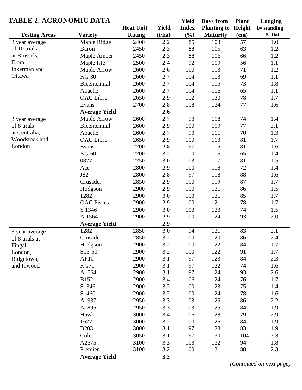| <b>TABLE 2. AGRONOMIC DATA</b> |                      |                  | <b>Yield</b> | Days from    | <b>Plant</b>              | Lodging |                |
|--------------------------------|----------------------|------------------|--------------|--------------|---------------------------|---------|----------------|
|                                |                      | <b>Heat Unit</b> | <b>Yield</b> | <b>Index</b> | <b>Planting to Height</b> |         | $1 =$ standing |
| <b>Testing Areas</b>           | <b>Variety</b>       | <b>Rating</b>    | (t/ha)       | $(\%)$       | <b>Maturity</b>           | (cm)    | $5 = flat$     |
| 3 year average                 | Maple Ridge          | 2400             | 2.2          | 85           | 103                       | 57      | 1.0            |
| of 10 trials                   | <b>Baron</b>         | 2450             | 2.3          | 88           | 105                       | 63      | 1.2            |
| at Brussels,                   | Maple Amber          | 2450             | 2.3          | 88           | 106                       | 66      | 1.2            |
| Elora,                         | Maple Isle           | 2500             | 2.4          | 92           | 109                       | 56      | 1.1            |
| Inkerman and                   | Maple Arrow          | 2600             | 2.6          | 100          | 113                       | 71      | 1.2            |
| Ottawa                         | <b>KG30</b>          | 2600             | 2.7          | 104          | 113                       | 69      | 1.1            |
|                                | Bicentennial         | 2600             | 2.7          | 104          | 115                       | 73      | 1.8            |
|                                | Apache               | 2600             | 2.7          | 104          | 116                       | 65      | 1.1            |
|                                | OAC Libra            | 2650             | 2.9          | 112          | 120                       | 78      | 1.7            |
|                                | Evans                | 2700             | 2.8          | 108          | 124                       | 77      | 1.6            |
|                                | <b>Average Yield</b> |                  | 2.6          |              |                           |         |                |
| 3 year average                 | Maple Arrow          | 2600             | 2.7          | 93           | 108                       | 74      | 1.4            |
| of 8 trials                    | Bicentennial         | 2600             | 2.9          | 100          | 109                       | 77      | 2.1            |
| at Centralia,                  | Apache               | 2600             | 2.7          | 93           | 111                       | 70      | 1.3            |
| Woodstock and                  | OAC Libra            | 2650             | 2.9          | 100          | 113                       | 81      | 1.7            |
| London                         | Evans                | 2700             | 2.8          | 97           | 115                       | 81      | 1.6            |
|                                | <b>KG 60</b>         | 2700             | 3.2          | 110          | 116                       | 65      | 1.4            |
|                                | 0877                 | 2750             | 3.0          | 103          | 117                       | 81      | 1.5            |
|                                | Ace                  | 2800             | 2.9          | 100          | 118                       | 72      | 1.4            |
|                                | J82                  | 2800             | 2.8          | 97           | 118                       | 88      | 1.6            |
|                                | Crusader             | 2850             | 2.9          | 100          | 119                       | 87      | 1.7            |
|                                | Hodgson              | 2900             | 2.9          | 100          | 121                       | 86      | 1.5            |
|                                | 1282                 | 2900             | 3.0          | 103          | 121                       | 85      | 1.7            |
|                                | <b>OAC</b> Pisces    | 2900             | 2.9          | 100          | 121                       | 78      | 1.7            |
|                                | S 1346               | 2900             | 3.0          | 103          | 123                       | 74      | 1.5            |
|                                | A 1564               | 2900             | 2.9          | 100          | 124                       | 93      | 2.0            |
|                                | <b>Average Yield</b> |                  | 2.9          |              |                           |         |                |
| 3 year average                 | 1282                 | 2850             | 3.0          | 94           | 121                       | 83      | 2.1            |
| of 8 trials at                 | Crusader             | 2850             | 3.2          | 100          | 120                       | 86      | 2.4            |
| Fingal,                        | Hodgson              | 2900             | 3.2          | 100          | 122                       | 84      | 1.7            |
| London,                        | S15-50               | 2900             | 3.2          | 100          | 122                       | 91      | 1.7            |
| Ridgetown,                     | AP10                 | 2900             | 3.1          | 97           | 123                       | 84      | 2.3            |
| and Inwood                     | <b>KG71</b>          | 2900             | 3.1          | 97           | 122                       | 74      | 1.6            |
|                                | A1564                | 2900             | 3.1          | 97           | 124                       | 93      | 2.6            |
|                                | <b>B152</b>          | 2900             | 3.4          | 106          | 124                       | 76      | 1.7            |
|                                | S1346                | 2900             | 3.2          | 100          | 123                       | 75      | 1.4            |
|                                | S1460                | 2900             | 3.2          | 100          | 124                       | 78      | 1.6            |
|                                | A1937                | 2950             | 3.3          | 103          | 125                       | 86      | 2.2            |
|                                | A1895                | 2950             | 3.3          | 103          | 125                       | 84      | 1.9            |
|                                | Hawk                 | 3000             | 3.4          | 106          | 128                       | 79      | 2.9            |
|                                | 1677                 | 3000             | 3.2          | 100          | 126                       | 84      | 1.9            |
|                                | <b>B203</b>          | 3000             | 3.1          | 97           | 128                       | 83      | 1.9            |
|                                | Coles                | 3050             | 3.1          | 97           | 130                       | 104     | 3.3            |
|                                | A2575                | 3100             | 3.3          | 103          | 132                       | 94      | 1.8            |
|                                | Premier              | 3100             | 3.2          | 100          | 131                       | 88      | 2.3            |
|                                | <b>Average Yield</b> |                  | 3.2          |              |                           |         |                |

*(Continued on next page)*